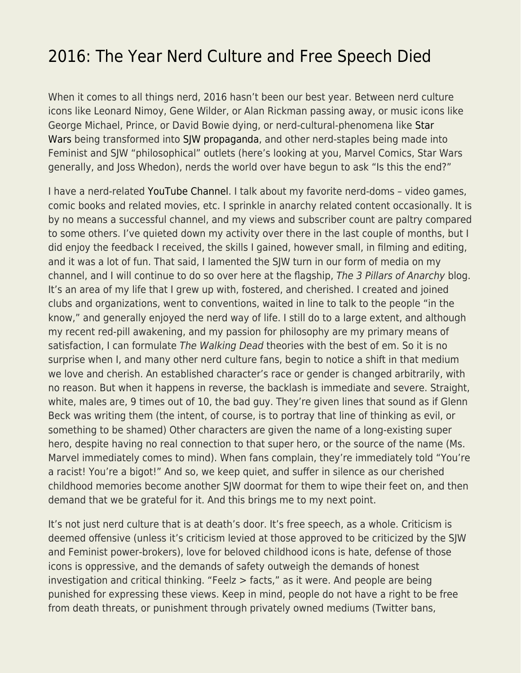## [2016: The Year Nerd Culture and Free Speech Died](https://everything-voluntary.com/2016-nerd-culture-free-speech)

When it comes to all things nerd, 2016 hasn't been our best year. Between nerd culture icons like Leonard Nimoy, Gene Wilder, or Alan Rickman passing away, or music icons like George Michael, Prince, or David Bowie dying, or nerd-cultural-phenomena like [Star](http://www.returnofkings.com/75991/why-star-wars-the-force-awakens-is-a-social-justice-propaganda-film) [Wars](http://www.returnofkings.com/75991/why-star-wars-the-force-awakens-is-a-social-justice-propaganda-film) being transformed into [SJW](http://www.returnofkings.com/111184/rogue-one-shows-that-hollywood-is-listening-to-our-complaints-about-feminism-in-films) [propaganda,](https://www.reddit.com/r/TheRedPill/comments/4e6rsf/the_new_star_wars_spin_off_looks_like_another_sjw/) and other nerd-staples being made into Feminist and SJW "philosophical" outlets (here's looking at you, Marvel Comics, Star Wars generally, and Joss Whedon), nerds the world over have begun to ask "Is this the end?"

I have a nerd-related [YouTube Channel.](https://www.google.com/url?sa=t&rct=j&q=&esrc=s&source=web&cd=1&cad=rja&uact=8&ved=0ahUKEwjoycyDk5XRAhXLqlQKHZ6HDxEQFggaMAA&url=https%3A%2F%2Fwww.youtube.com%2Fchannel%2FUC0x81tdc6pKZ8I1Nae0AcJg&usg=AFQjCNERYDmEtql4mNGAHjbrWiIDgMgFvg&sig2=oEQ3OL2969wGu3t7KxgxBA&bvm=bv.142059868,d.cGw) I talk about my favorite nerd-doms – video games, comic books and related movies, etc. I sprinkle in anarchy related content occasionally. It is by no means a successful channel, and my views and subscriber count are paltry compared to some others. I've quieted down my activity over there in the last couple of months, but I did enjoy the feedback I received, the skills I gained, however small, in filming and editing, and it was a lot of fun. That said, I lamented the SJW turn in our form of media on my channel, and I will continue to do so over here at the flagship, The 3 Pillars of Anarchy blog. It's an area of my life that I grew up with, fostered, and cherished. I created and joined clubs and organizations, went to conventions, waited in line to talk to the people "in the know," and generally enjoyed the nerd way of life. I still do to a large extent, and although my recent red-pill awakening, and my passion for philosophy are my primary means of satisfaction, I can formulate The Walking Dead theories with the best of em. So it is no surprise when I, and many other nerd culture fans, begin to notice a shift in that medium we love and cherish. An established character's race or gender is changed arbitrarily, with no reason. But when it happens in reverse, the backlash is immediate and severe. Straight, white, males are, 9 times out of 10, the bad guy. They're given lines that sound as if Glenn Beck was writing them (the intent, of course, is to portray that line of thinking as evil, or something to be shamed) Other characters are given the name of a long-existing super hero, despite having no real connection to that super hero, or the source of the name (Ms. Marvel immediately comes to mind). When fans complain, they're immediately told "You're a racist! You're a bigot!" And so, we keep quiet, and suffer in silence as our cherished childhood memories become another SJW doormat for them to wipe their feet on, and then demand that we be grateful for it. And this brings me to my next point.

It's not just nerd culture that is at death's door. It's free speech, as a whole. Criticism is deemed offensive (unless it's criticism levied at those approved to be criticized by the SJW and Feminist power-brokers), love for beloved childhood icons is hate, defense of those icons is oppressive, and the demands of safety outweigh the demands of honest investigation and critical thinking. "Feelz > facts," as it were. And people are being punished for expressing these views. Keep in mind, people do not have a right to be free from death threats, or punishment through privately owned mediums (Twitter bans,